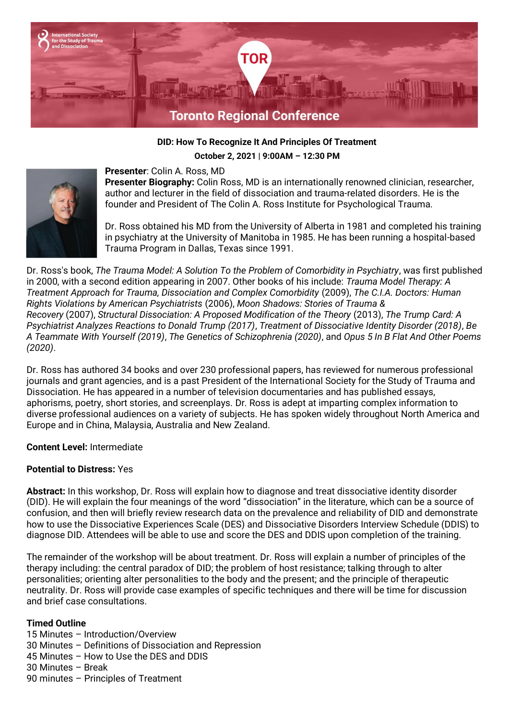

### **DID: How To Recognize It And Principles Of Treatment**

**October 2, 2021 | 9:00AM – 12:30 PM**



#### **Presenter**: Colin A. Ross, MD **Presenter Biography:** Colin Ross, MD is an internationally renowned clinician, researcher, author and lecturer in the field of dissociation and trauma-related disorders. He is the founder and President of The Colin A. Ross Institute for Psychological Trauma.

Dr. Ross obtained his MD from the University of Alberta in 1981 and completed his training in psychiatry at the University of Manitoba in 1985. He has been running a hospital-based Trauma Program in Dallas, Texas since 1991.

Dr. Ross's book, *The Trauma Model: A Solution To the Problem of Comorbidity in Psychiatry*, was first published in 2000, with a second edition appearing in 2007. Other books of his include: *Trauma Model Therapy: A Treatment Approach for Trauma, Dissociation and Complex Comorbidity* (2009), *The C.I.A. Doctors: Human Rights Violations by American Psychiatrists* (2006), *Moon Shadows: Stories of Trauma & Recovery* (2007), *Structural Dissociation: A Proposed Modification of the Theory* (2013), *The Trump Card: A Psychiatrist Analyzes Reactions to Donald Trump (2017)*, *Treatment of Dissociative Identity Disorder (2018)*, *Be A Teammate With Yourself (2019)*, *The Genetics of Schizophrenia (2020)*, and *Opus 5 In B Flat And Other Poems (2020)*.

Dr. Ross has authored 34 books and over 230 professional papers, has reviewed for numerous professional journals and grant agencies, and is a past President of the International Society for the Study of Trauma and Dissociation. He has appeared in a number of television documentaries and has published essays, aphorisms, poetry, short stories, and screenplays. Dr. Ross is adept at imparting complex information to diverse professional audiences on a variety of subjects. He has spoken widely throughout North America and Europe and in China, Malaysia, Australia and New Zealand.

# **Content Level:** Intermediate

# **Potential to Distress:** Yes

**Abstract:** In this workshop, Dr. Ross will explain how to diagnose and treat dissociative identity disorder (DID). He will explain the four meanings of the word "dissociation" in the literature, which can be a source of confusion, and then will briefly review research data on the prevalence and reliability of DID and demonstrate how to use the Dissociative Experiences Scale (DES) and Dissociative Disorders Interview Schedule (DDIS) to diagnose DID. Attendees will be able to use and score the DES and DDIS upon completion of the training.

The remainder of the workshop will be about treatment. Dr. Ross will explain a number of principles of the therapy including: the central paradox of DID; the problem of host resistance; talking through to alter personalities; orienting alter personalities to the body and the present; and the principle of therapeutic neutrality. Dr. Ross will provide case examples of specific techniques and there will be time for discussion and brief case consultations.

# **Timed Outline**

- 15 Minutes Introduction/Overview
- 30 Minutes Definitions of Dissociation and Repression
- 45 Minutes How to Use the DES and DDIS
- 30 Minutes Break
- 90 minutes Principles of Treatment